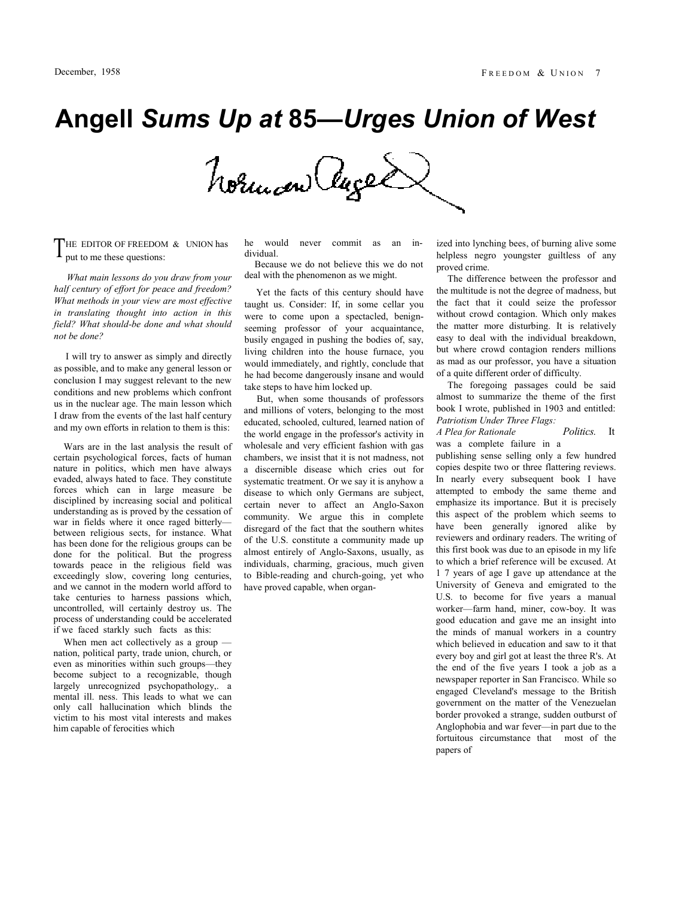## **Angell** *Sums Up at* **85—***Urges Union of West*

Norman ages

HE EDITOR OF FREEDOM & UNION has  $\Gamma$  HE EDITOR OF FREEDOM<br>put to me these questions:

*What main lessons do you draw from your half century of effort for peace and freedom? What methods in your view are most effective in translating thought into action in this field? What should-be done and what should not be done?*

I will try to answer as simply and directly as possible, and to make any general lesson or conclusion I may suggest relevant to the new conditions and new problems which confront us in the nuclear age. The main lesson which I draw from the events of the last half century and my own efforts in relation to them is this:

Wars are in the last analysis the result of certain psychological forces, facts of human nature in politics, which men have always evaded, always hated to face. They constitute forces which can in large measure be disciplined by increasing social and political understanding as is proved by the cessation of war in fields where it once raged bitterly between religious sects, for instance. What has been done for the religious groups can be done for the political. But the progress towards peace in the religious field was exceedingly slow, covering long centuries, and we cannot in the modern world afford to take centuries to harness passions which, uncontrolled, will certainly destroy us. The process of understanding could be accelerated if we faced starkly such facts as this:

When men act collectively as a group nation, political party, trade union, church, or even as minorities within such groups—they become subject to a recognizable, though largely unrecognized psychopathology,. a mental ill. ness. This leads to what we can only call hallucination which blinds the victim to his most vital interests and makes him capable of ferocities which

he would never commit as an individual.

Because we do not believe this we do not deal with the phenomenon as we might.

Yet the facts of this century should have taught us. Consider: If, in some cellar you were to come upon a spectacled, benignseeming professor of your acquaintance, busily engaged in pushing the bodies of, say, living children into the house furnace, you would immediately, and rightly, conclude that he had become dangerously insane and would take steps to have him locked up.

But, when some thousands of professors and millions of voters, belonging to the most educated, schooled, cultured, learned nation of the world engage in the professor's activity in wholesale and very efficient fashion with gas chambers, we insist that it is not madness, not a discernible disease which cries out for systematic treatment. Or we say it is anyhow a disease to which only Germans are subject, certain never to affect an Anglo-Saxon community. We argue this in complete disregard of the fact that the southern whites of the U.S. constitute a community made up almost entirely of Anglo-Saxons, usually, as individuals, charming, gracious, much given to Bible-reading and church-going, yet who have proved capable, when organized into lynching bees, of burning alive some helpless negro youngster guiltless of any proved crime.

The difference between the professor and the multitude is not the degree of madness, but the fact that it could seize the professor without crowd contagion. Which only makes the matter more disturbing. It is relatively easy to deal with the individual breakdown, but where crowd contagion renders millions as mad as our professor, you have a situation of a quite different order of difficulty.

The foregoing passages could be said almost to summarize the theme of the first book I wrote, published in 1903 and entitled: *Patriotism Under Three Flags:*

*A Plea for Rationale* was a complete failure in a *Politics.* It

publishing sense selling only a few hundred copies despite two or three flattering reviews. In nearly every subsequent book I have attempted to embody the same theme and emphasize its importance. But it is precisely this aspect of the problem which seems to have been generally ignored alike by reviewers and ordinary readers. The writing of this first book was due to an episode in my life to which a brief reference will be excused. At 1 7 years of age I gave up attendance at the University of Geneva and emigrated to the U.S. to become for five years a manual worker—farm hand, miner, cow-boy. It was good education and gave me an insight into the minds of manual workers in a country which believed in education and saw to it that every boy and girl got at least the three R's. At the end of the five years I took a job as a newspaper reporter in San Francisco. While so engaged Cleveland's message to the British government on the matter of the Venezuelan border provoked a strange, sudden outburst of Anglophobia and war fever—in part due to the fortuitous circumstance that most of the papers of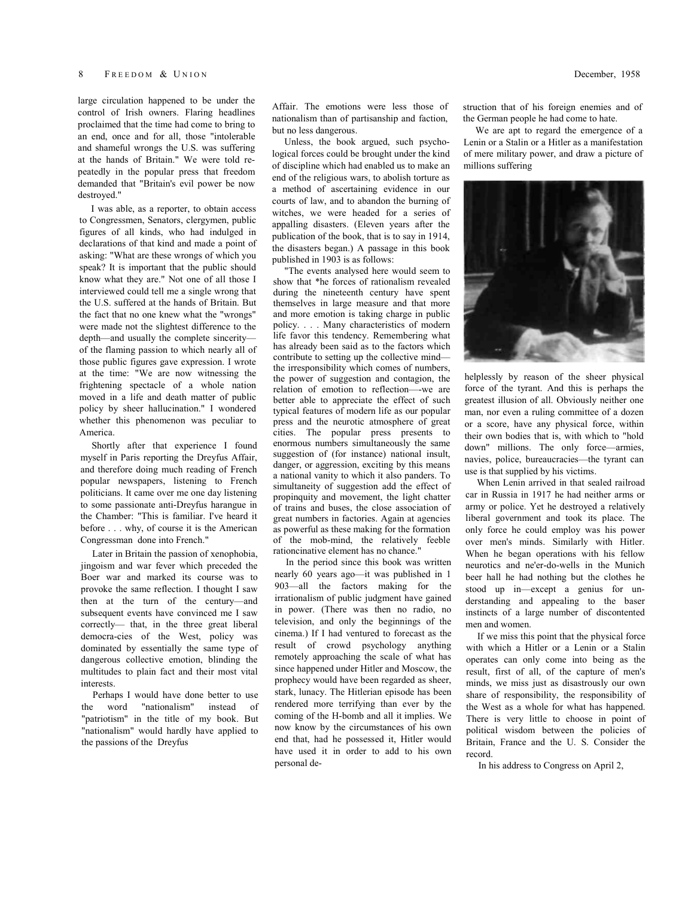large circulation happened to be under the control of Irish owners. Flaring headlines proclaimed that the time had come to bring to an end, once and for all, those "intolerable and shameful wrongs the U.S. was suffering at the hands of Britain." We were told repeatedly in the popular press that freedom demanded that "Britain's evil power be now destroyed."

I was able, as a reporter, to obtain access to Congressmen, Senators, clergymen, public figures of all kinds, who had indulged in declarations of that kind and made a point of asking: "What are these wrongs of which you speak? It is important that the public should know what they are." Not one of all those I interviewed could tell me a single wrong that the U.S. suffered at the hands of Britain. But the fact that no one knew what the "wrongs" were made not the slightest difference to the depth—and usually the complete sincerity of the flaming passion to which nearly all of those public figures gave expression. I wrote at the time: "We are now witnessing the frightening spectacle of a whole nation moved in a life and death matter of public policy by sheer hallucination." I wondered whether this phenomenon was peculiar to America.

Shortly after that experience I found myself in Paris reporting the Dreyfus Affair, and therefore doing much reading of French popular newspapers, listening to French politicians. It came over me one day listening to some passionate anti-Dreyfus harangue in the Chamber: "This is familiar. I've heard it before . . . why, of course it is the American Congressman done into French."

Later in Britain the passion of xenophobia, jingoism and war fever which preceded the Boer war and marked its course was to provoke the same reflection. I thought I saw then at the turn of the century—and subsequent events have convinced me I saw correctly— that, in the three great liberal democra-cies of the West, policy was dominated by essentially the same type of dangerous collective emotion, blinding the multitudes to plain fact and their most vital interests.

Perhaps I would have done better to use the word "nationalism" instead of "patriotism" in the title of my book. But "nationalism" would hardly have applied to the passions of the Dreyfus

Affair. The emotions were less those of nationalism than of partisanship and faction, but no less dangerous.

Unless, the book argued, such psychological forces could be brought under the kind of discipline which had enabled us to make an end of the religious wars, to abolish torture as a method of ascertaining evidence in our courts of law, and to abandon the burning of witches, we were headed for a series of appalling disasters. (Eleven years after the publication of the book, that is to say in 1914, the disasters began.) A passage in this book published in 1903 is as follows:

"The events analysed here would seem to show that \*he forces of rationalism revealed during the nineteenth century have spent themselves in large measure and that more and more emotion is taking charge in public policy. . . . Many characteristics of modern life favor this tendency. Remembering what has already been said as to the factors which contribute to setting up the collective mind the irresponsibility which comes of numbers, the power of suggestion and contagion, the relation of emotion to reflection—-we are better able to appreciate the effect of such typical features of modern life as our popular press and the neurotic atmosphere of great cities. The popular press presents to enormous numbers simultaneously the same suggestion of (for instance) national insult, danger, or aggression, exciting by this means a national vanity to which it also panders. To simultaneity of suggestion add the effect of propinquity and movement, the light chatter of trains and buses, the close association of great numbers in factories. Again at agencies as powerful as these making for the formation of the mob-mind, the relatively feeble rationcinative element has no chance."

In the period since this book was written nearly 60 years ago—it was published in 1 903—all the factors making for the irrationalism of public judgment have gained in power. (There was then no radio, no television, and only the beginnings of the cinema.) If I had ventured to forecast as the result of crowd psychology anything remotely approaching the scale of what has since happened under Hitler and Moscow, the prophecy would have been regarded as sheer, stark, lunacy. The Hitlerian episode has been rendered more terrifying than ever by the coming of the H-bomb and all it implies. We now know by the circumstances of his own end that, had he possessed it, Hitler would have used it in order to add to his own personal destruction that of his foreign enemies and of the German people he had come to hate.

We are apt to regard the emergence of a Lenin or a Stalin or a Hitler as a manifestation of mere military power, and draw a picture of millions suffering



helplessly by reason of the sheer physical force of the tyrant. And this is perhaps the greatest illusion of all. Obviously neither one man, nor even a ruling committee of a dozen or a score, have any physical force, within their own bodies that is, with which to "hold down" millions. The only force—armies, navies, police, bureaucracies—the tyrant can use is that supplied by his victims.

When Lenin arrived in that sealed railroad car in Russia in 1917 he had neither arms or army or police. Yet he destroyed a relatively liberal government and took its place. The only force he could employ was his power over men's minds. Similarly with Hitler. When he began operations with his fellow neurotics and ne'er-do-wells in the Munich beer hall he had nothing but the clothes he stood up in—except a genius for understanding and appealing to the baser instincts of a large number of discontented men and women.

If we miss this point that the physical force with which a Hitler or a Lenin or a Stalin operates can only come into being as the result, first of all, of the capture of men's minds, we miss just as disastrously our own share of responsibility, the responsibility of the West as a whole for what has happened. There is very little to choose in point of political wisdom between the policies of Britain, France and the U. S. Consider the record.

In his address to Congress on April 2,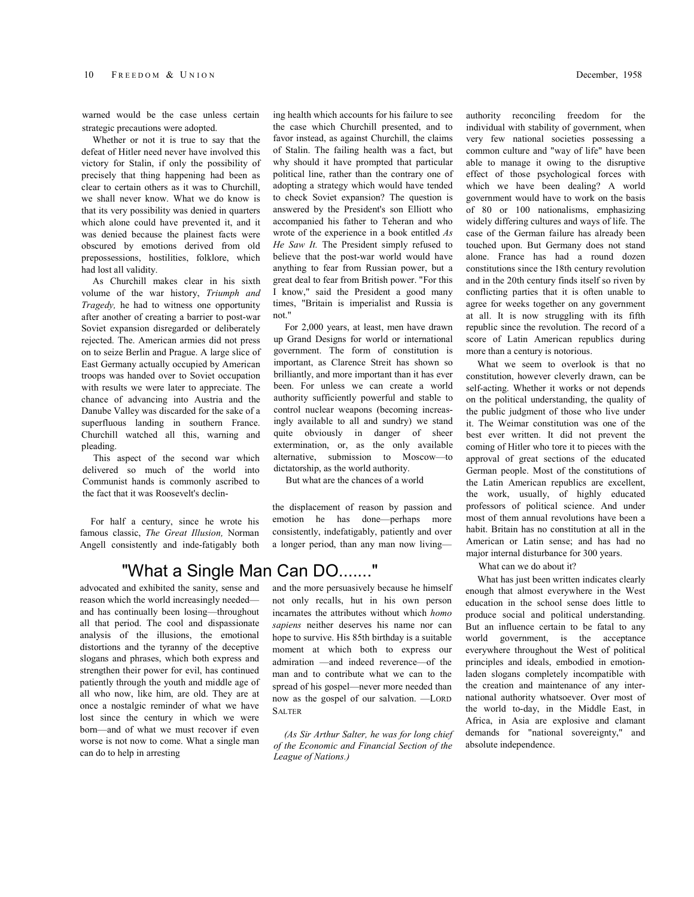warned would be the case unless certain strategic precautions were adopted.

Whether or not it is true to say that the defeat of Hitler need never have involved this victory for Stalin, if only the possibility of precisely that thing happening had been as clear to certain others as it was to Churchill, we shall never know. What we do know is that its very possibility was denied in quarters which alone could have prevented it, and it was denied because the plainest facts were obscured by emotions derived from old prepossessions, hostilities, folklore, which had lost all validity.

As Churchill makes clear in his sixth volume of the war history, *Triumph and Tragedy,* he had to witness one opportunity after another of creating a barrier to post-war Soviet expansion disregarded or deliberately rejected. The. American armies did not press on to seize Berlin and Prague. A large slice of East Germany actually occupied by American troops was handed over to Soviet occupation with results we were later to appreciate. The chance of advancing into Austria and the Danube Valley was discarded for the sake of a superfluous landing in southern France. Churchill watched all this, warning and pleading.

This aspect of the second war which delivered so much of the world into Communist hands is commonly ascribed to the fact that it was Roosevelt's declin-

For half a century, since he wrote his famous classic, *The Great Illusion,* Norman Angell consistently and inde-fatigably both ing health which accounts for his failure to see the case which Churchill presented, and to favor instead, as against Churchill, the claims of Stalin. The failing health was a fact, but why should it have prompted that particular political line, rather than the contrary one of adopting a strategy which would have tended to check Soviet expansion? The question is answered by the President's son Elliott who accompanied his father to Teheran and who wrote of the experience in a book entitled *As He Saw It.* The President simply refused to believe that the post-war world would have anything to fear from Russian power, but a great deal to fear from British power. "For this I know," said the President a good many times, "Britain is imperialist and Russia is

For 2,000 years, at least, men have drawn up Grand Designs for world or international government. The form of constitution is important, as Clarence Streit has shown so brilliantly, and more important than it has ever been. For unless we can create a world authority sufficiently powerful and stable to control nuclear weapons (becoming increasingly available to all and sundry) we stand quite obviously in danger of sheer extermination, or, as the only available alternative, submission to Moscow—to dictatorship, as the world authority.

But what are the chances of a world

the displacement of reason by passion and emotion he has done—perhaps more consistently, indefatigably, patiently and over a longer period, than any man now living—

## "What a Single Man Can DO......."

not."

advocated and exhibited the sanity, sense and reason which the world increasingly needed and has continually been losing—throughout all that period. The cool and dispassionate analysis of the illusions, the emotional distortions and the tyranny of the deceptive slogans and phrases, which both express and strengthen their power for evil, has continued patiently through the youth and middle age of all who now, like him, are old. They are at once a nostalgic reminder of what we have lost since the century in which we were born—and of what we must recover if even worse is not now to come. What a single man can do to help in arresting

and the more persuasively because he himself not only recalls, hut in his own person incarnates the attributes without which *homo sapiens* neither deserves his name nor can hope to survive. His 85th birthday is a suitable moment at which both to express our admiration —and indeed reverence—of the man and to contribute what we can to the spread of his gospel—never more needed than now as the gospel of our salvation. —LORD SALTER

*(As Sir Arthur Salter, he was for long chief of the Economic and Financial Section of the League of Nations.)*

authority reconciling freedom for the individual with stability of government, when very few national societies possessing a common culture and "way of life" have been able to manage it owing to the disruptive effect of those psychological forces with which we have been dealing? A world government would have to work on the basis of 80 or 100 nationalisms, emphasizing widely differing cultures and ways of life. The case of the German failure has already been touched upon. But Germany does not stand alone. France has had a round dozen constitutions since the 18th century revolution and in the 20th century finds itself so riven by conflicting parties that it is often unable to agree for weeks together on any government at all. It is now struggling with its fifth republic since the revolution. The record of a score of Latin American republics during more than a century is notorious.

What we seem to overlook is that no constitution, however cleverly drawn, can be self-acting. Whether it works or not depends on the political understanding, the quality of the public judgment of those who live under it. The Weimar constitution was one of the best ever written. It did not prevent the coming of Hitler who tore it to pieces with the approval of great sections of the educated German people. Most of the constitutions of the Latin American republics are excellent, the work, usually, of highly educated professors of political science. And under most of them annual revolutions have been a habit. Britain has no constitution at all in the American or Latin sense; and has had no major internal disturbance for 300 years.

What can we do about it?

What has just been written indicates clearly enough that almost everywhere in the West education in the school sense does little to produce social and political understanding. But an influence certain to be fatal to any world government, is the acceptance everywhere throughout the West of political principles and ideals, embodied in emotionladen slogans completely incompatible with the creation and maintenance of any international authority whatsoever. Over most of the world to-day, in the Middle East, in Africa, in Asia are explosive and clamant demands for "national sovereignty," and absolute independence.